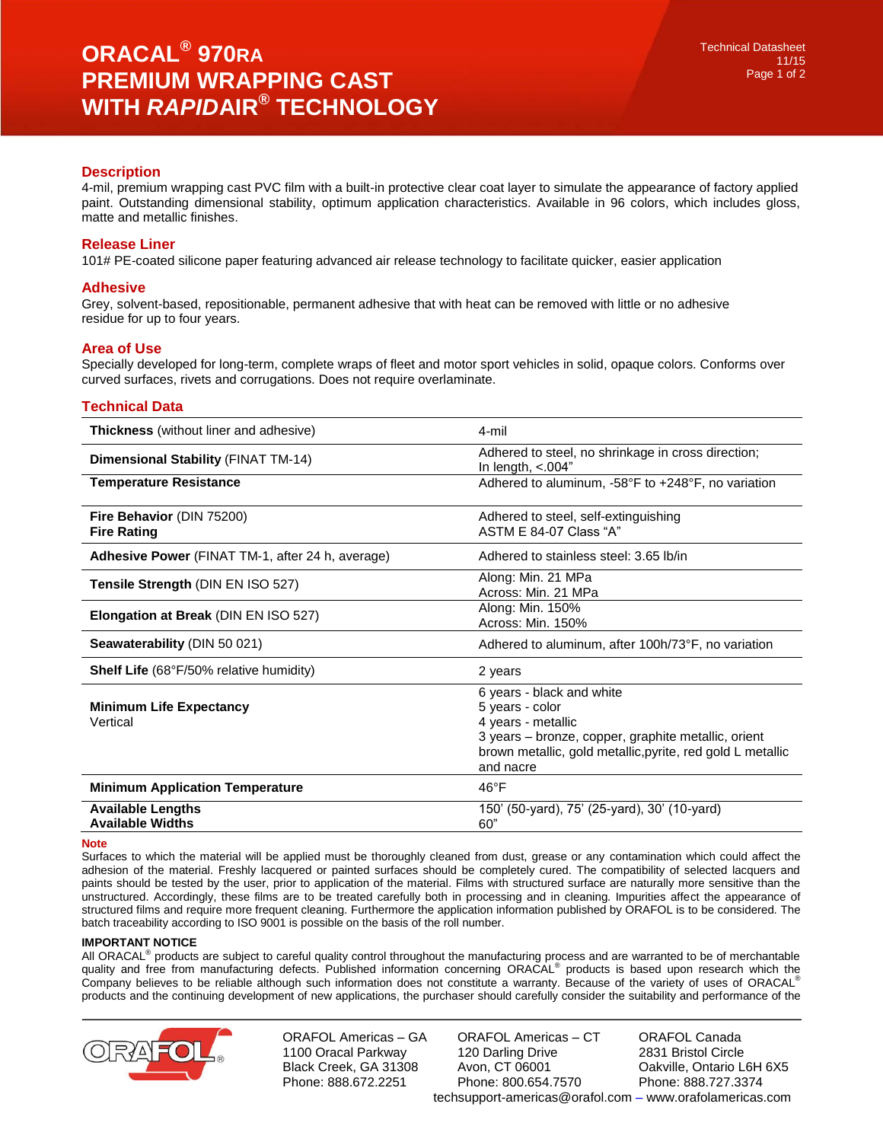# **Description**

4-mil, premium wrapping cast PVC film with a built-in protective clear coat layer to simulate the appearance of factory applied paint. Outstanding dimensional stability, optimum application characteristics. Available in 96 colors, which includes gloss, matte and metallic finishes.

# **Release Liner**

101# PE-coated silicone paper featuring advanced air release technology to facilitate quicker, easier application

## **Adhesive**

Grey, solvent-based, repositionable, permanent adhesive that with heat can be removed with little or no adhesive residue for up to four years.

# **Area of Use**

Specially developed for long-term, complete wraps of fleet and motor sport vehicles in solid, opaque colors. Conforms over curved surfaces, rivets and corrugations. Does not require overlaminate.

# **Technical Data**

| <b>Thickness</b> (without liner and adhesive)       | 4-mil                                                                                                                                                                                                |
|-----------------------------------------------------|------------------------------------------------------------------------------------------------------------------------------------------------------------------------------------------------------|
| Dimensional Stability (FINAT TM-14)                 | Adhered to steel, no shrinkage in cross direction;<br>In length, $< 004"$                                                                                                                            |
| <b>Temperature Resistance</b>                       | Adhered to aluminum, -58°F to +248°F, no variation                                                                                                                                                   |
| Fire Behavior (DIN 75200)<br><b>Fire Rating</b>     | Adhered to steel, self-extinguishing<br>ASTM E 84-07 Class "A"                                                                                                                                       |
| Adhesive Power (FINAT TM-1, after 24 h, average)    | Adhered to stainless steel: 3.65 lb/in                                                                                                                                                               |
| Tensile Strength (DIN EN ISO 527)                   | Along: Min. 21 MPa<br>Across: Min. 21 MPa                                                                                                                                                            |
| <b>Elongation at Break (DIN EN ISO 527)</b>         | Along: Min. 150%<br>Across: Min. 150%                                                                                                                                                                |
| Seawaterability (DIN 50 021)                        | Adhered to aluminum, after 100h/73°F, no variation                                                                                                                                                   |
| <b>Shelf Life</b> (68°F/50% relative humidity)      | 2 years                                                                                                                                                                                              |
| <b>Minimum Life Expectancy</b><br>Vertical          | 6 years - black and white<br>5 years - color<br>4 years - metallic<br>3 years - bronze, copper, graphite metallic, orient<br>brown metallic, gold metallic, pyrite, red gold L metallic<br>and nacre |
| <b>Minimum Application Temperature</b>              | $46^{\circ}F$                                                                                                                                                                                        |
| <b>Available Lengths</b><br><b>Available Widths</b> | 150' (50-yard), 75' (25-yard), 30' (10-yard)<br>60"                                                                                                                                                  |

#### **Note**

Surfaces to which the material will be applied must be thoroughly cleaned from dust, grease or any contamination which could affect the adhesion of the material. Freshly lacquered or painted surfaces should be completely cured. The compatibility of selected lacquers and paints should be tested by the user, prior to application of the material. Films with structured surface are naturally more sensitive than the unstructured. Accordingly, these films are to be treated carefully both in processing and in cleaning. Impurities affect the appearance of structured films and require more frequent cleaning. Furthermore the application information published by ORAFOL is to be considered. The batch traceability according to ISO 9001 is possible on the basis of the roll number.

### **IMPORTANT NOTICE**

All ORACAL<sup>®</sup> products are subject to careful quality control throughout the manufacturing process and are warranted to be of merchantable quality and free from manufacturing defects. Published information concerning ORACAL<sup>®</sup> products is based upon research which the Company believes to be reliable although such information does not constitute a warranty. Because of the variety of uses of ORACAL® products and the continuing development of new applications, the purchaser should carefully consider the suitability and performance of the



ORAFOL Americas – GA 1100 Oracal Parkway Black Creek, GA 31308 Phone: 888.672.2251